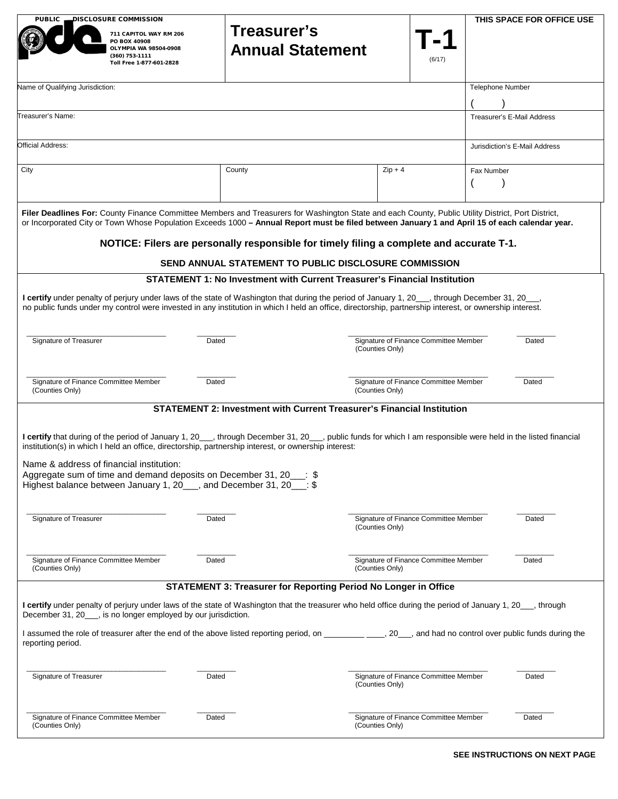| DISCLOSURE COMMISSION<br>THIS SPACE FOR OFFICE USE<br><b>PUBLIC</b>                                                                                                                                                                                                                                       |                                                                                                                                                                                    |                                                                                                                                                                                                                                                                                                                                                                                                  |                                                                   |                                       |                               |
|-----------------------------------------------------------------------------------------------------------------------------------------------------------------------------------------------------------------------------------------------------------------------------------------------------------|------------------------------------------------------------------------------------------------------------------------------------------------------------------------------------|--------------------------------------------------------------------------------------------------------------------------------------------------------------------------------------------------------------------------------------------------------------------------------------------------------------------------------------------------------------------------------------------------|-------------------------------------------------------------------|---------------------------------------|-------------------------------|
|                                                                                                                                                                                                                                                                                                           | 711 CAPITOL WAY RM 206<br>PO BOX 40908<br>OLYMPIA WA 98504-0908<br>(360) 753-1111<br>Toll Free 1-877-601-2828                                                                      | Treasurer's<br><b>Annual Statement</b>                                                                                                                                                                                                                                                                                                                                                           |                                                                   | (6/17)                                |                               |
| Name of Qualifying Jurisdiction:                                                                                                                                                                                                                                                                          |                                                                                                                                                                                    |                                                                                                                                                                                                                                                                                                                                                                                                  |                                                                   |                                       | <b>Telephone Number</b>       |
| Treasurer's Name:                                                                                                                                                                                                                                                                                         |                                                                                                                                                                                    |                                                                                                                                                                                                                                                                                                                                                                                                  |                                                                   |                                       | Treasurer's E-Mail Address    |
| Official Address:                                                                                                                                                                                                                                                                                         |                                                                                                                                                                                    |                                                                                                                                                                                                                                                                                                                                                                                                  |                                                                   |                                       | Jurisdiction's E-Mail Address |
| City                                                                                                                                                                                                                                                                                                      |                                                                                                                                                                                    | County                                                                                                                                                                                                                                                                                                                                                                                           | $Zip + 4$                                                         |                                       | Fax Number                    |
|                                                                                                                                                                                                                                                                                                           |                                                                                                                                                                                    | Filer Deadlines For: County Finance Committee Members and Treasurers for Washington State and each County, Public Utility District, Port District,<br>or Incorporated City or Town Whose Population Exceeds 1000 - Annual Report must be filed between January 1 and April 15 of each calendar year.<br>NOTICE: Filers are personally responsible for timely filing a complete and accurate T-1. |                                                                   |                                       |                               |
| SEND ANNUAL STATEMENT TO PUBLIC DISCLOSURE COMMISSION<br><b>STATEMENT 1: No Investment with Current Treasurer's Financial Institution</b>                                                                                                                                                                 |                                                                                                                                                                                    |                                                                                                                                                                                                                                                                                                                                                                                                  |                                                                   |                                       |                               |
| I certify under penalty of perjury under laws of the state of Washington that during the period of January 1, 20__, through December 31, 20__,<br>no public funds under my control were invested in any institution in which I held an office, directorship, partnership interest, or ownership interest. |                                                                                                                                                                                    |                                                                                                                                                                                                                                                                                                                                                                                                  |                                                                   |                                       |                               |
| Signature of Treasurer<br>Dated                                                                                                                                                                                                                                                                           |                                                                                                                                                                                    | Signature of Finance Committee Member<br>Dated<br>(Counties Only)                                                                                                                                                                                                                                                                                                                                |                                                                   |                                       |                               |
| Signature of Finance Committee Member<br>Dated<br>(Counties Only)                                                                                                                                                                                                                                         |                                                                                                                                                                                    |                                                                                                                                                                                                                                                                                                                                                                                                  | Signature of Finance Committee Member<br>Dated<br>(Counties Only) |                                       |                               |
|                                                                                                                                                                                                                                                                                                           |                                                                                                                                                                                    | <b>STATEMENT 2: Investment with Current Treasurer's Financial Institution</b>                                                                                                                                                                                                                                                                                                                    |                                                                   |                                       |                               |
|                                                                                                                                                                                                                                                                                                           | Name & address of financial institution:<br>Aggregate sum of time and demand deposits on December 31, 20___:<br>Highest balance between January 1, 20__, and December 31, 20__: \$ | I certify that during of the period of January 1, 20__, through December 31, 20__, public funds for which I am responsible were held in the listed financial<br>institution(s) in which I held an office, directorship, partnership interest, or ownership interest:                                                                                                                             |                                                                   |                                       |                               |
| Signature of Treasurer                                                                                                                                                                                                                                                                                    |                                                                                                                                                                                    | Dated                                                                                                                                                                                                                                                                                                                                                                                            | (Counties Only)                                                   | Signature of Finance Committee Member | Dated                         |
| Signature of Finance Committee Member<br>(Counties Only)                                                                                                                                                                                                                                                  |                                                                                                                                                                                    | Dated                                                                                                                                                                                                                                                                                                                                                                                            | (Counties Only)                                                   | Signature of Finance Committee Member | Dated                         |
|                                                                                                                                                                                                                                                                                                           |                                                                                                                                                                                    | <b>STATEMENT 3: Treasurer for Reporting Period No Longer in Office</b>                                                                                                                                                                                                                                                                                                                           |                                                                   |                                       |                               |
|                                                                                                                                                                                                                                                                                                           | December 31, 20___, is no longer employed by our jurisdiction.                                                                                                                     | I certify under penalty of perjury under laws of the state of Washington that the treasurer who held office during the period of January 1, 20_, through                                                                                                                                                                                                                                         |                                                                   |                                       |                               |
| reporting period.                                                                                                                                                                                                                                                                                         |                                                                                                                                                                                    | I assumed the role of treasurer after the end of the above listed reporting period, on ___________________, 20___, and had no control over public funds during the                                                                                                                                                                                                                               |                                                                   |                                       |                               |
| Signature of Treasurer                                                                                                                                                                                                                                                                                    | Signature of Finance Committee Member<br>Dated<br>(Counties Only)                                                                                                                  |                                                                                                                                                                                                                                                                                                                                                                                                  |                                                                   | Dated                                 |                               |
| Signature of Finance Committee Member<br>(Counties Only)                                                                                                                                                                                                                                                  |                                                                                                                                                                                    | Dated                                                                                                                                                                                                                                                                                                                                                                                            | (Counties Only)                                                   | Signature of Finance Committee Member | Dated                         |